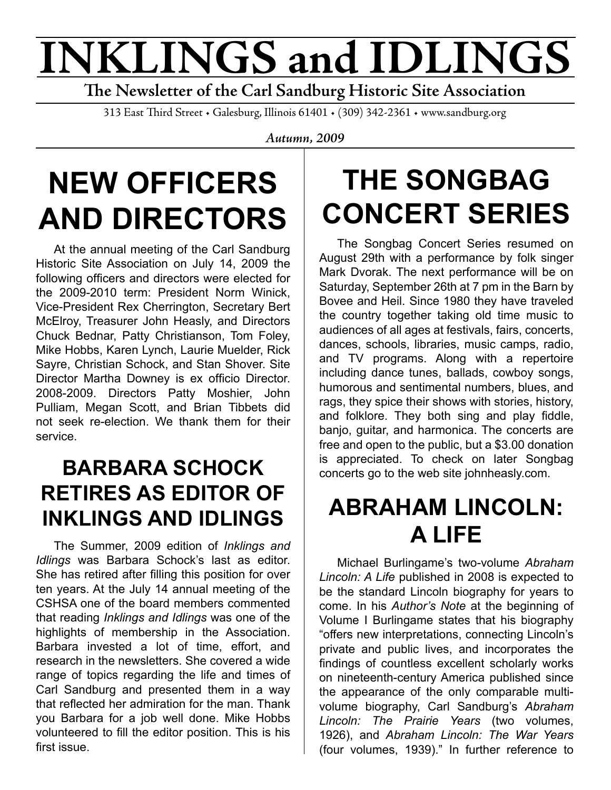# **INKLINGS and IDLINGS**

**The Newsletter of the Carl Sandburg Historic Site Association**

313 East Third Street • Galesburg, Illinois 61401 • (309) 342-2361 • www.sandburg.org

*Autumn, 2009*

# **NEW OFFICERS AND DIRECTORS**

At the annual meeting of the Carl Sandburg Historic Site Association on July 14, 2009 the following officers and directors were elected for the 2009-2010 term: President Norm Winick, Vice-President Rex Cherrington, Secretary Bert McElroy, Treasurer John Heasly, and Directors Chuck Bednar, Patty Christianson, Tom Foley, Mike Hobbs, Karen Lynch, Laurie Muelder, Rick Sayre, Christian Schock, and Stan Shover. Site Director Martha Downey is ex officio Director. 2008-2009. Directors Patty Moshier, John Pulliam, Megan Scott, and Brian Tibbets did not seek re-election. We thank them for their service.

#### **BARBARA SCHOCK RETIRES AS EDITOR OF INKLINGS AND IDLINGS**

The Summer, 2009 edition of *Inklings and Idlings* was Barbara Schock's last as editor. She has retired after filling this position for over ten years. At the July 14 annual meeting of the CSHSA one of the board members commented that reading *Inklings and Idlings* was one of the highlights of membership in the Association. Barbara invested a lot of time, effort, and research in the newsletters. She covered a wide range of topics regarding the life and times of Carl Sandburg and presented them in a way that reflected her admiration for the man. Thank you Barbara for a job well done. Mike Hobbs volunteered to fill the editor position. This is his first issue.

## **THE SONGBAG CONCERT SERIES**

The Songbag Concert Series resumed on August 29th with a performance by folk singer Mark Dvorak. The next performance will be on Saturday, September 26th at 7 pm in the Barn by Bovee and Heil. Since 1980 they have traveled the country together taking old time music to audiences of all ages at festivals, fairs, concerts, dances, schools, libraries, music camps, radio, and TV programs. Along with a repertoire including dance tunes, ballads, cowboy songs, humorous and sentimental numbers, blues, and rags, they spice their shows with stories, history, and folklore. They both sing and play fiddle, banjo, guitar, and harmonica. The concerts are free and open to the public, but a \$3.00 donation is appreciated. To check on later Songbag concerts go to the web site johnheasly.com.

#### **ABRAHAM LINCOLN: A LIFE**

Michael Burlingame's two-volume *Abraham Lincoln: A Life* published in 2008 is expected to be the standard Lincoln biography for years to come. In his *Author's Note* at the beginning of Volume I Burlingame states that his biography "offers new interpretations, connecting Lincoln's private and public lives, and incorporates the findings of countless excellent scholarly works on nineteenth-century America published since the appearance of the only comparable multivolume biography, Carl Sandburg's *Abraham Lincoln: The Prairie Years* (two volumes, 1926), and *Abraham Lincoln: The War Years*  (four volumes, 1939)." In further reference to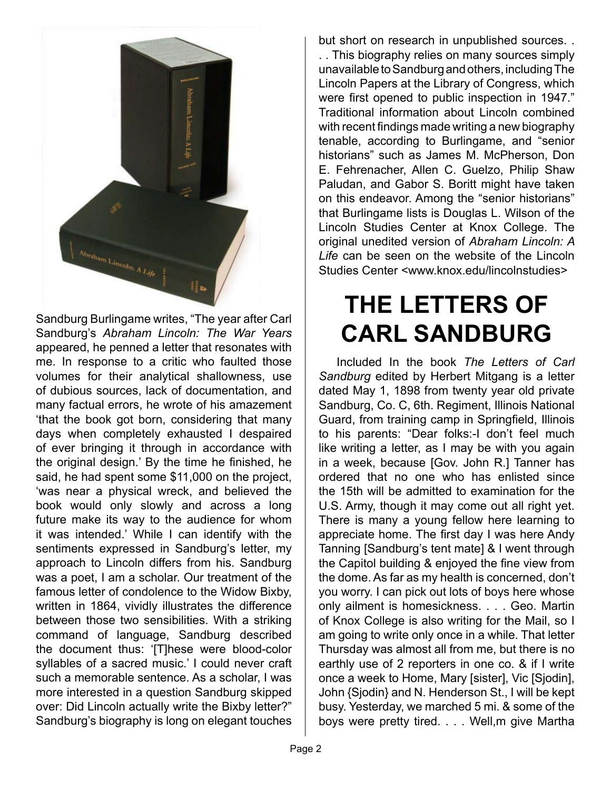

Sandburg Burlingame writes, "The year after Carl Sandburg's *Abraham Lincoln: The War Years*  appeared, he penned a letter that resonates with me. In response to a critic who faulted those volumes for their analytical shallowness, use of dubious sources, lack of documentation, and many factual errors, he wrote of his amazement 'that the book got born, considering that many days when completely exhausted I despaired of ever bringing it through in accordance with the original design.' By the time he finished, he said, he had spent some \$11,000 on the project, 'was near a physical wreck, and believed the book would only slowly and across a long future make its way to the audience for whom it was intended.' While I can identify with the sentiments expressed in Sandburg's letter, my approach to Lincoln differs from his. Sandburg was a poet, I am a scholar. Our treatment of the famous letter of condolence to the Widow Bixby, written in 1864, vividly illustrates the difference between those two sensibilities. With a striking command of language, Sandburg described the document thus: '[T]hese were blood-color syllables of a sacred music.' I could never craft such a memorable sentence. As a scholar, I was more interested in a question Sandburg skipped over: Did Lincoln actually write the Bixby letter?" Sandburg's biography is long on elegant touches

but short on research in unpublished sources. . . . This biography relies on many sources simply unavailable to Sandburg and others, including The Lincoln Papers at the Library of Congress, which were first opened to public inspection in 1947." Traditional information about Lincoln combined with recent findings made writing a new biography tenable, according to Burlingame, and "senior historians" such as James M. McPherson, Don E. Fehrenacher, Allen C. Guelzo, Philip Shaw Paludan, and Gabor S. Boritt might have taken on this endeavor. Among the "senior historians" that Burlingame lists is Douglas L. Wilson of the Lincoln Studies Center at Knox College. The original unedited version of *Abraham Lincoln: A Life* can be seen on the website of the Lincoln Studies Center <www.knox.edu/lincolnstudies>

### **THE LETTERS OF CARL SANDBURG**

Included In the book *The Letters of Carl Sandburg* edited by Herbert Mitgang is a letter dated May 1, 1898 from twenty year old private Sandburg, Co. C, 6th. Regiment, Illinois National Guard, from training camp in Springfield, Illinois to his parents: "Dear folks:-I don't feel much like writing a letter, as I may be with you again in a week, because [Gov. John R.] Tanner has ordered that no one who has enlisted since the 15th will be admitted to examination for the U.S. Army, though it may come out all right yet. There is many a young fellow here learning to appreciate home. The first day I was here Andy Tanning [Sandburg's tent mate] & I went through the Capitol building & enjoyed the fine view from the dome. As far as my health is concerned, don't you worry. I can pick out lots of boys here whose only ailment is homesickness. . . . Geo. Martin of Knox College is also writing for the Mail, so I am going to write only once in a while. That letter Thursday was almost all from me, but there is no earthly use of 2 reporters in one co. & if I write once a week to Home, Mary [sister], Vic [Sjodin], John {Sjodin} and N. Henderson St., I will be kept busy. Yesterday, we marched 5 mi. & some of the boys were pretty tired. . . . Well,m give Martha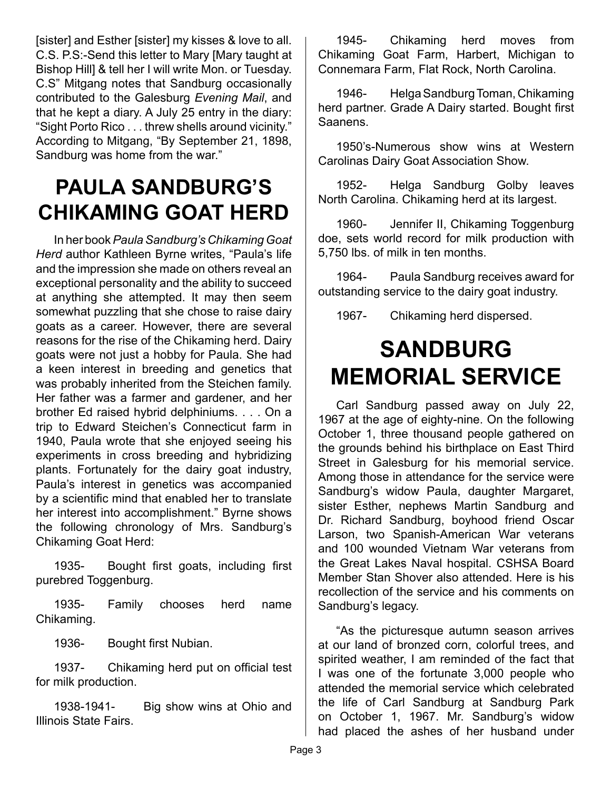[sister] and Esther [sister] my kisses & love to all. C.S. P.S:-Send this letter to Mary [Mary taught at Bishop Hill] & tell her I will write Mon. or Tuesday. C.S" Mitgang notes that Sandburg occasionally contributed to the Galesburg *Evening Mail*, and that he kept a diary. A July 25 entry in the diary: "Sight Porto Rico . . . threw shells around vicinity." According to Mitgang, "By September 21, 1898, Sandburg was home from the war."

#### **PAULA SANDBURG'S CHIKAMING GOAT HERD**

In her book *Paula Sandburg's Chikaming Goat Herd* author Kathleen Byrne writes, "Paula's life and the impression she made on others reveal an exceptional personality and the ability to succeed at anything she attempted. It may then seem somewhat puzzling that she chose to raise dairy goats as a career. However, there are several reasons for the rise of the Chikaming herd. Dairy goats were not just a hobby for Paula. She had a keen interest in breeding and genetics that was probably inherited from the Steichen family. Her father was a farmer and gardener, and her brother Ed raised hybrid delphiniums. . . . On a trip to Edward Steichen's Connecticut farm in 1940, Paula wrote that she enjoyed seeing his experiments in cross breeding and hybridizing plants. Fortunately for the dairy goat industry, Paula's interest in genetics was accompanied by a scientific mind that enabled her to translate her interest into accomplishment." Byrne shows the following chronology of Mrs. Sandburg's Chikaming Goat Herd:

1935- Bought first goats, including first purebred Toggenburg.

1935- Family chooses herd name Chikaming.

1936- Bought first Nubian.

1937- Chikaming herd put on official test for milk production.

1938-1941- Big show wins at Ohio and Illinois State Fairs.

1945- Chikaming herd moves from Chikaming Goat Farm, Harbert, Michigan to Connemara Farm, Flat Rock, North Carolina.

1946- Helga Sandburg Toman, Chikaming herd partner. Grade A Dairy started. Bought first Saanens.

1950's-Numerous show wins at Western Carolinas Dairy Goat Association Show.

1952- Helga Sandburg Golby leaves North Carolina. Chikaming herd at its largest.

1960- Jennifer II, Chikaming Toggenburg doe, sets world record for milk production with 5,750 lbs. of milk in ten months.

1964- Paula Sandburg receives award for outstanding service to the dairy goat industry.

1967- Chikaming herd dispersed.

#### **SANDBURG MEMORIAL SERVICE**

Carl Sandburg passed away on July 22, 1967 at the age of eighty-nine. On the following October 1, three thousand people gathered on the grounds behind his birthplace on East Third Street in Galesburg for his memorial service. Among those in attendance for the service were Sandburg's widow Paula, daughter Margaret, sister Esther, nephews Martin Sandburg and Dr. Richard Sandburg, boyhood friend Oscar Larson, two Spanish-American War veterans and 100 wounded Vietnam War veterans from the Great Lakes Naval hospital. CSHSA Board Member Stan Shover also attended. Here is his recollection of the service and his comments on Sandburg's legacy.

"As the picturesque autumn season arrives at our land of bronzed corn, colorful trees, and spirited weather, I am reminded of the fact that I was one of the fortunate 3,000 people who attended the memorial service which celebrated the life of Carl Sandburg at Sandburg Park on October 1, 1967. Mr. Sandburg's widow had placed the ashes of her husband under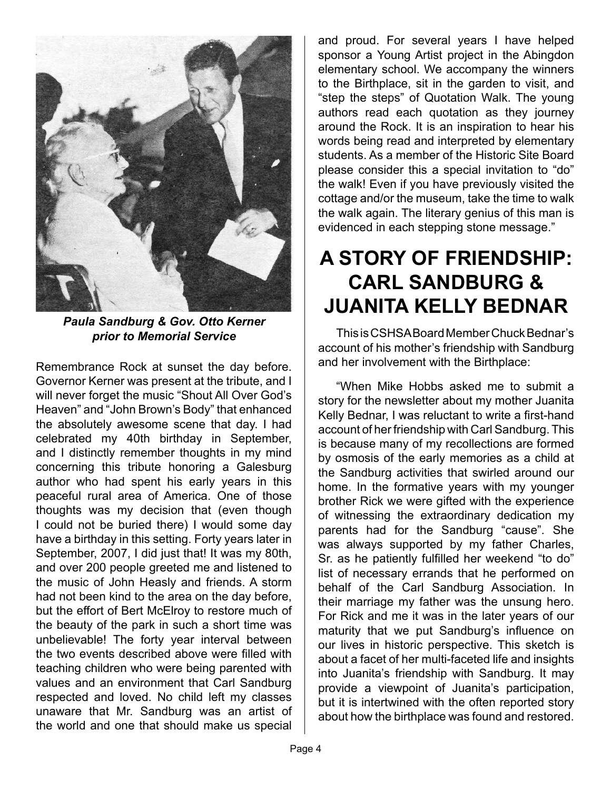

*Paula Sandburg & Gov. Otto Kerner prior to Memorial Service*

Remembrance Rock at sunset the day before. Governor Kerner was present at the tribute, and I will never forget the music "Shout All Over God's Heaven" and "John Brown's Body" that enhanced the absolutely awesome scene that day. I had celebrated my 40th birthday in September, and I distinctly remember thoughts in my mind concerning this tribute honoring a Galesburg author who had spent his early years in this peaceful rural area of America. One of those thoughts was my decision that (even though I could not be buried there) I would some day have a birthday in this setting. Forty years later in September, 2007, I did just that! It was my 80th, and over 200 people greeted me and listened to the music of John Heasly and friends. A storm had not been kind to the area on the day before, but the effort of Bert McElroy to restore much of the beauty of the park in such a short time was unbelievable! The forty year interval between the two events described above were filled with teaching children who were being parented with values and an environment that Carl Sandburg respected and loved. No child left my classes unaware that Mr. Sandburg was an artist of the world and one that should make us special

and proud. For several years I have helped sponsor a Young Artist project in the Abingdon elementary school. We accompany the winners to the Birthplace, sit in the garden to visit, and "step the steps" of Quotation Walk. The young authors read each quotation as they journey around the Rock. It is an inspiration to hear his words being read and interpreted by elementary students. As a member of the Historic Site Board please consider this a special invitation to "do" the walk! Even if you have previously visited the cottage and/or the museum, take the time to walk the walk again. The literary genius of this man is evidenced in each stepping stone message."

#### **A STORY OF FRIENDSHIP: CARL SANDBURG & JUANITA KELLY BEDNAR**

This is CSHSA Board Member Chuck Bednar's account of his mother's friendship with Sandburg and her involvement with the Birthplace:

"When Mike Hobbs asked me to submit a story for the newsletter about my mother Juanita Kelly Bednar, I was reluctant to write a first-hand account of her friendship with Carl Sandburg. This is because many of my recollections are formed by osmosis of the early memories as a child at the Sandburg activities that swirled around our home. In the formative years with my younger brother Rick we were gifted with the experience of witnessing the extraordinary dedication my parents had for the Sandburg "cause". She was always supported by my father Charles, Sr. as he patiently fulfilled her weekend "to do" list of necessary errands that he performed on behalf of the Carl Sandburg Association. In their marriage my father was the unsung hero. For Rick and me it was in the later years of our maturity that we put Sandburg's influence on our lives in historic perspective. This sketch is about a facet of her multi-faceted life and insights into Juanita's friendship with Sandburg. It may provide a viewpoint of Juanita's participation, but it is intertwined with the often reported story about how the birthplace was found and restored.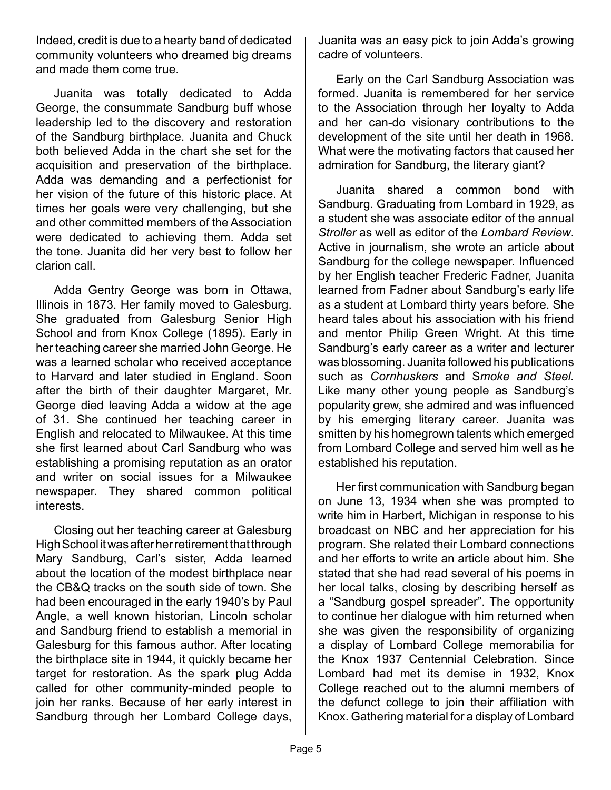Indeed, credit is due to a hearty band of dedicated community volunteers who dreamed big dreams and made them come true.

Juanita was totally dedicated to Adda George, the consummate Sandburg buff whose leadership led to the discovery and restoration of the Sandburg birthplace. Juanita and Chuck both believed Adda in the chart she set for the acquisition and preservation of the birthplace. Adda was demanding and a perfectionist for her vision of the future of this historic place. At times her goals were very challenging, but she and other committed members of the Association were dedicated to achieving them. Adda set the tone. Juanita did her very best to follow her clarion call.

Adda Gentry George was born in Ottawa, Illinois in 1873. Her family moved to Galesburg. She graduated from Galesburg Senior High School and from Knox College (1895). Early in her teaching career she married John George. He was a learned scholar who received acceptance to Harvard and later studied in England. Soon after the birth of their daughter Margaret, Mr. George died leaving Adda a widow at the age of 31. She continued her teaching career in English and relocated to Milwaukee. At this time she first learned about Carl Sandburg who was establishing a promising reputation as an orator and writer on social issues for a Milwaukee newspaper. They shared common political interests.

Closing out her teaching career at Galesburg High School it was after her retirement that through Mary Sandburg, Carl's sister, Adda learned about the location of the modest birthplace near the CB&Q tracks on the south side of town. She had been encouraged in the early 1940's by Paul Angle, a well known historian, Lincoln scholar and Sandburg friend to establish a memorial in Galesburg for this famous author. After locating the birthplace site in 1944, it quickly became her target for restoration. As the spark plug Adda called for other community-minded people to join her ranks. Because of her early interest in Sandburg through her Lombard College days, Juanita was an easy pick to join Adda's growing cadre of volunteers.

Early on the Carl Sandburg Association was formed. Juanita is remembered for her service to the Association through her loyalty to Adda and her can-do visionary contributions to the development of the site until her death in 1968. What were the motivating factors that caused her admiration for Sandburg, the literary giant?

Juanita shared a common bond with Sandburg. Graduating from Lombard in 1929, as a student she was associate editor of the annual *Stroller* as well as editor of the *Lombard Review*. Active in journalism, she wrote an article about Sandburg for the college newspaper. Influenced by her English teacher Frederic Fadner, Juanita learned from Fadner about Sandburg's early life as a student at Lombard thirty years before. She heard tales about his association with his friend and mentor Philip Green Wright. At this time Sandburg's early career as a writer and lecturer was blossoming. Juanita followed his publications such as *Cornhuskers* and S*moke and Steel.*  Like many other young people as Sandburg's popularity grew, she admired and was influenced by his emerging literary career. Juanita was smitten by his homegrown talents which emerged from Lombard College and served him well as he established his reputation.

Her first communication with Sandburg began on June 13, 1934 when she was prompted to write him in Harbert, Michigan in response to his broadcast on NBC and her appreciation for his program. She related their Lombard connections and her efforts to write an article about him. She stated that she had read several of his poems in her local talks, closing by describing herself as a "Sandburg gospel spreader". The opportunity to continue her dialogue with him returned when she was given the responsibility of organizing a display of Lombard College memorabilia for the Knox 1937 Centennial Celebration. Since Lombard had met its demise in 1932, Knox College reached out to the alumni members of the defunct college to join their affiliation with Knox. Gathering material for a display of Lombard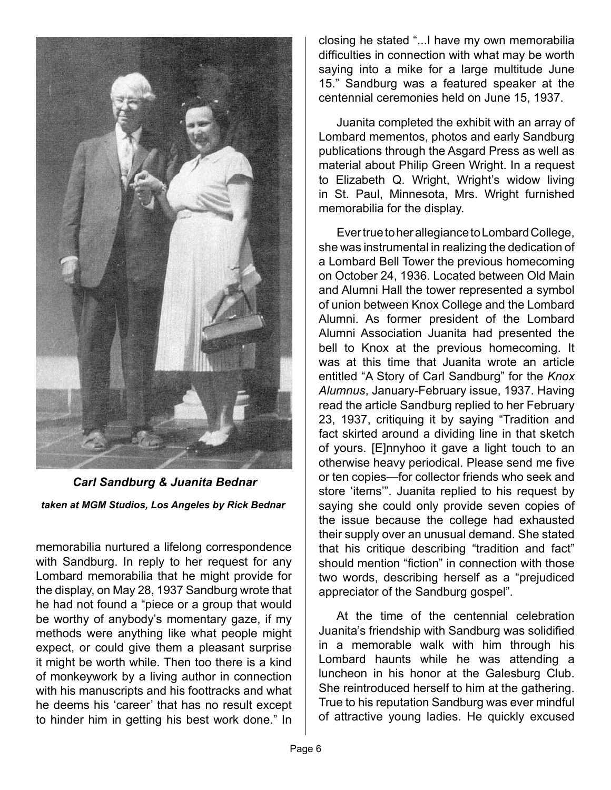

 *Carl Sandburg & Juanita Bednar taken at MGM Studios, Los Angeles by Rick Bednar*

memorabilia nurtured a lifelong correspondence with Sandburg. In reply to her request for any Lombard memorabilia that he might provide for the display, on May 28, 1937 Sandburg wrote that he had not found a "piece or a group that would be worthy of anybody's momentary gaze, if my methods were anything like what people might expect, or could give them a pleasant surprise it might be worth while. Then too there is a kind of monkeywork by a living author in connection with his manuscripts and his foottracks and what he deems his 'career' that has no result except to hinder him in getting his best work done." In

closing he stated "...I have my own memorabilia difficulties in connection with what may be worth saying into a mike for a large multitude June 15." Sandburg was a featured speaker at the centennial ceremonies held on June 15, 1937.

Juanita completed the exhibit with an array of Lombard mementos, photos and early Sandburg publications through the Asgard Press as well as material about Philip Green Wright. In a request to Elizabeth Q. Wright, Wright's widow living in St. Paul, Minnesota, Mrs. Wright furnished memorabilia for the display.

Ever true to her allegiance to Lombard College, she was instrumental in realizing the dedication of a Lombard Bell Tower the previous homecoming on October 24, 1936. Located between Old Main and Alumni Hall the tower represented a symbol of union between Knox College and the Lombard Alumni. As former president of the Lombard Alumni Association Juanita had presented the bell to Knox at the previous homecoming. It was at this time that Juanita wrote an article entitled "A Story of Carl Sandburg" for the *Knox Alumnus*, January-February issue, 1937. Having read the article Sandburg replied to her February 23, 1937, critiquing it by saying "Tradition and fact skirted around a dividing line in that sketch of yours. [E]nnyhoo it gave a light touch to an otherwise heavy periodical. Please send me five or ten copies—for collector friends who seek and store 'items'". Juanita replied to his request by saying she could only provide seven copies of the issue because the college had exhausted their supply over an unusual demand. She stated that his critique describing "tradition and fact" should mention "fiction" in connection with those two words, describing herself as a "prejudiced appreciator of the Sandburg gospel".

At the time of the centennial celebration Juanita's friendship with Sandburg was solidified in a memorable walk with him through his Lombard haunts while he was attending a luncheon in his honor at the Galesburg Club. She reintroduced herself to him at the gathering. True to his reputation Sandburg was ever mindful of attractive young ladies. He quickly excused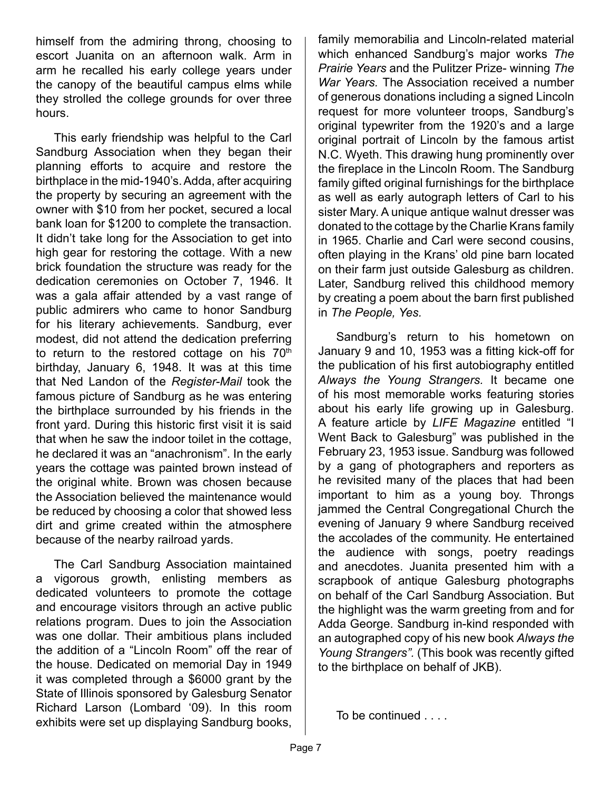himself from the admiring throng, choosing to escort Juanita on an afternoon walk. Arm in arm he recalled his early college years under the canopy of the beautiful campus elms while they strolled the college grounds for over three hours.

This early friendship was helpful to the Carl Sandburg Association when they began their planning efforts to acquire and restore the birthplace in the mid-1940's. Adda, after acquiring the property by securing an agreement with the owner with \$10 from her pocket, secured a local bank loan for \$1200 to complete the transaction. It didn't take long for the Association to get into high gear for restoring the cottage. With a new brick foundation the structure was ready for the dedication ceremonies on October 7, 1946. It was a gala affair attended by a vast range of public admirers who came to honor Sandburg for his literary achievements. Sandburg, ever modest, did not attend the dedication preferring to return to the restored cottage on his  $70<sup>th</sup>$ birthday, January 6, 1948. It was at this time that Ned Landon of the *Register-Mail* took the famous picture of Sandburg as he was entering the birthplace surrounded by his friends in the front yard. During this historic first visit it is said that when he saw the indoor toilet in the cottage, he declared it was an "anachronism". In the early years the cottage was painted brown instead of the original white. Brown was chosen because the Association believed the maintenance would be reduced by choosing a color that showed less dirt and grime created within the atmosphere because of the nearby railroad yards.

The Carl Sandburg Association maintained a vigorous growth, enlisting members as dedicated volunteers to promote the cottage and encourage visitors through an active public relations program. Dues to join the Association was one dollar. Their ambitious plans included the addition of a "Lincoln Room" off the rear of the house. Dedicated on memorial Day in 1949 it was completed through a \$6000 grant by the State of Illinois sponsored by Galesburg Senator Richard Larson (Lombard '09). In this room exhibits were set up displaying Sandburg books, family memorabilia and Lincoln-related material which enhanced Sandburg's major works *The Prairie Years* and the Pulitzer Prize- winning *The War Years.* The Association received a number of generous donations including a signed Lincoln request for more volunteer troops, Sandburg's original typewriter from the 1920's and a large original portrait of Lincoln by the famous artist N.C. Wyeth. This drawing hung prominently over the fireplace in the Lincoln Room. The Sandburg family gifted original furnishings for the birthplace as well as early autograph letters of Carl to his sister Mary. A unique antique walnut dresser was donated to the cottage by the Charlie Krans family in 1965. Charlie and Carl were second cousins, often playing in the Krans' old pine barn located on their farm just outside Galesburg as children. Later, Sandburg relived this childhood memory by creating a poem about the barn first published in *The People, Yes.*

Sandburg's return to his hometown on January 9 and 10, 1953 was a fitting kick-off for the publication of his first autobiography entitled *Always the Young Strangers.* It became one of his most memorable works featuring stories about his early life growing up in Galesburg. A feature article by *LIFE Magazine* entitled "I Went Back to Galesburg" was published in the February 23, 1953 issue. Sandburg was followed by a gang of photographers and reporters as he revisited many of the places that had been important to him as a young boy. Throngs jammed the Central Congregational Church the evening of January 9 where Sandburg received the accolades of the community. He entertained the audience with songs, poetry readings and anecdotes. Juanita presented him with a scrapbook of antique Galesburg photographs on behalf of the Carl Sandburg Association. But the highlight was the warm greeting from and for Adda George. Sandburg in-kind responded with an autographed copy of his new book *Always the Young Strangers".* (This book was recently gifted to the birthplace on behalf of JKB).

To be continued . . . .